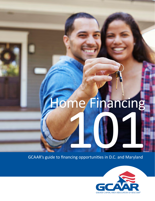# me/Financing Home Financing

GCAAR's guide to financing opportunities in D.C. and Maryland

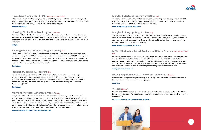





This is a two-part loan program. The first is a conventional mortgage loan requiring a minimum of 5% down payment. The 2nd loan is forgivable after five years and covers up to \$30,000 of the buyer's student loans—and no more than 15% of the purchase price.

### **[mmp.maryland.gov/Pages/SmartBuy](http://mmp.maryland.gov/Pages/SmartBuy)**

# **Maryland Mortgage Program Flex (MD)**

# **MPDU (Moderately Priced Dwelling Unit) Sales Program (Montgomery County,** MD)

The Maryland Mortgage Program Flex loans offer both loans and grants for homebuyers in the state of Maryland. The suite of loan products allows the borrower to have most, if not all, of their minimum down-payment requirements paid for. Borrowers do not need to be first-time homebuyers, but they can't own another home at the time of closing.

### **[mmp.maryland.gov/Pages/FlexLoans](http://mmp.maryland.gov/Pages/FlexLoans)**

Montgomery County's MPDU Program offers townhomes and condominiums to first-time homebuyers who meet certain household income requirements. MPDU buyers must be able to qualify for a mortgage; pay a down payment; pay settlement fees including advance taxes and advance insurance; and pay a monthly mortgage payment, utilities and other costs. Special financing and down-payment and closing-cost assistance are available through the Housing Opportunities Commission.

#### **[montgomerycountymd.gov](http://montgomerycountymd.gov)**

# **NACA (Neighborhood Assistance Corp. of America)** (National)

When a homebuyer goes through its training, they are eligible for NACA's below-market interest rate financing, but applicants have to follow the program.

#### **[naca.com](http://naca.com)**

# **Veterans Benefits Administration (VA) loan** (National)

VA home loans offer 100% financing and are the only loans where the appraiser must ask the REALTOR® for help in getting the value. The appraisers are required to ask the agent for the comps used to determine the sales price. VA home loans are open to U.S. military service members and [veterans.](http://va.gov/housing-assistance/home-loans/eligibility)

#### **va.gov/housing-assistance/home-loans/eligibility**

# **House Keys 4 Employees (HK4E)** (Montgomery County, MD)

HK4E is a closing-cost assistance program available to Montgomery County government employees. It provides added help when an employer offers closing-cost assistance to its employees. To be eligible, the first mortgage must be through the Maryland CDA mortgage program.

**[mmp.maryland.gov](http://mmp.maryland.gov)**

# **Housing Choice Voucher Program (National)**

The Housing Choice Voucher Program allows families who are assisted by the voucher subsidy to buy a home and receive monthly assistance for the mortgage payment vs. for rent. Families must already be a part of the rental voucher program. The assistance amount differs from the rental subsidy and varies by jurisdiction.

**[hud.gov](http://hud.gov)**

# **Housing Purchase Assistance Program (HPAP)** (D.C.)

Offered by the District of Columbia Department of Housing and Community Development, first-time homebuyers can get up to \$80,000 in financing assistance and up to an additional \$4,000 in closing-cost assistance in the form of a loan. The amount of assistance and length of the loan deferment period are determined by the buyer's income and household size. Agents and would-be buyers should be aware of possible last-minute changes to assistance amounts.

**[dhcd.dc.gov](http://dhcd.dc.gov)**

# **Inclusionary Zoning (IZ) Program (D.C.)**

The D.C. government requires that 8-10% of units in most new or renovated condo buildings or townhome developments are sold at a reduced price, so the IZ program allows applicants to enter a lottery to buy select reduced-price condos or townhomes if their household meets the program's income requirements. This is administered by the D.C. Department of Housing and Community Development (DHCD).

**[dhcd.dc.gov](http://dhcd.dc.gov)**

## **Maryland Mortgage Advantage Program (MD)**

This program offers a 3, 4 or 5% loan to cover down payment and/or closing costs. It can be used with both FHA and conventional financing. This particular program does require you to be a first-time homebuyer unless purchasing in a targeted area. There are income limitations according to household size and max purchase prices according to the county. There is no payment on this loan and it does not need to be paid back unless you sell the home, refinance the mortgage or move out of the home as your primary residence. The program must be accessed through an approved lender.

**[mmp.maryland.gov/Pages/1stTimeAdvantage.aspx](http://mmp.maryland.gov/Pages/1stTimeAdvantage.aspx)**

# **Maryland Mortgage Program SmartBuy** (MD)